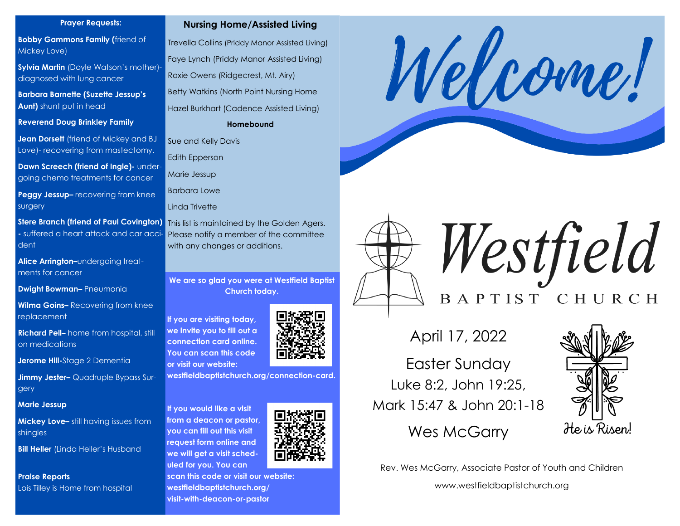#### **Prayer Requests:**

**Bobby Gammons Family (**friend of Mickey Love)

**Sylvia Martin** (Doyle Watson's mother) diagnosed with lung cancer

**Barbara Barnette (Suzette Jessup's Aunt)** shunt put in head

**Reverend Doug Brinkley Family**

**Jean Dorsett** (friend of Mickey and BJ Love)- recovering from mastectomy.

**Dawn Screech (friend of Ingle)- under**going chemo treatments for cancer

**Peggy Jessup–** recovering from knee surgery

**Stere Branch (friend of Paul Covington)** This list is maintained by the Golden Agers. **-** suffered a heart attack and car accident

**Alice Arrington–**undergoing treatments for cancer

**Dwight Bowman–** Pneumonia

**Wilma Goins–** Recovering from knee replacement

**Richard Pell–** home from hospital, still on medications

**Jerome Hill-**Stage 2 Dementia

**Jimmy Jester–** Quadruple Bypass Surgery

**Marie Jessup**

**Mickey Love–** still having issues from shingles

**Bill Heller** (Linda Heller's Husband

**Praise Reports** Lois Tilley is Home from hospital

## **Nursing Home/Assisted Living**

Trevella Collins (Priddy Manor Assisted Living) Faye Lynch (Priddy Manor Assisted Living) Roxie Owens (Ridgecrest, Mt. Airy) Betty Watkins (North Point Nursing Home Hazel Burkhart (Cadence Assisted Living) **Homebound**

Sue and Kelly Davis

Edith Epperson

Marie Jessup

Barbara Lowe

Linda Trivette

Please notify a member of the committee with any changes or additions.

**We are so glad you were at Westfield Baptist Church today.** 

**If you are visiting today, we invite you to fill out a connection card online. You can scan this code or visit our website:**

**westfieldbaptistchurch.org/connection-card.** 

**If you would like a visit from a deacon or pastor, you can fill out this visit request form online and we will get a visit scheduled for you. You can** 



**scan this code or visit our website: westfieldbaptistchurch.org/ visit-with-deacon-or-pastor**





Westfield BAPTIST CHURCH

April 17, 2022

Easter Sunday Luke 8:2, John 19:25, Mark 15:47 & John 20:1-18

Wes McGarry



Rev. Wes McGarry, Associate Pastor of Youth and Children

www.westfieldbaptistchurch.org